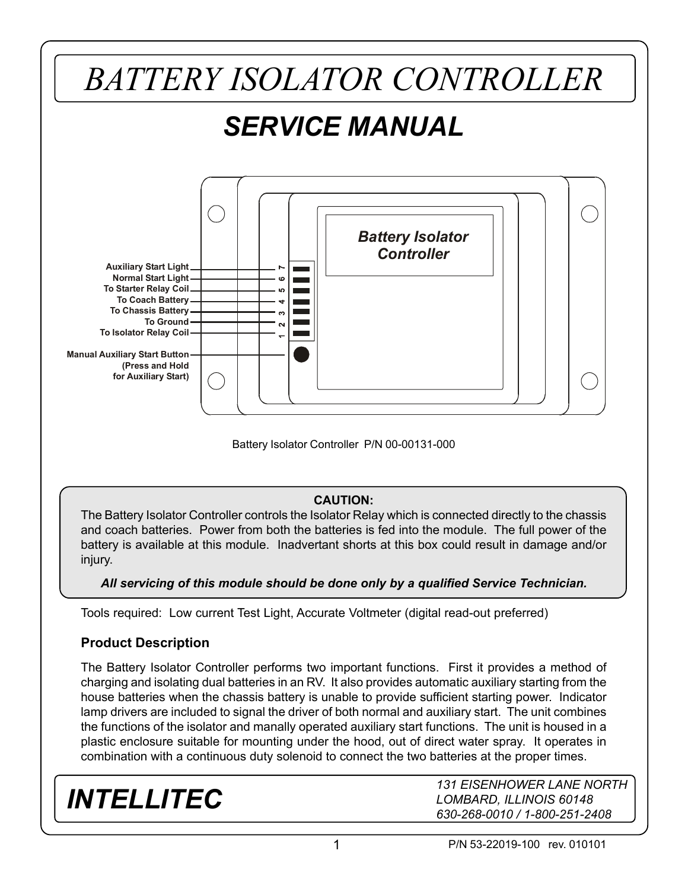

Battery Isolator Controller P/N 00-00131-000

#### **CAUTION:**

The Battery Isolator Controller controls the Isolator Relay which is connected directly to the chassis and coach batteries. Power from both the batteries is fed into the module. The full power of the battery is available at this module. Inadvertant shorts at this box could result in damage and/or injury.

#### *All servicing of this module should be done only by a qualified Service Technician.*

Tools required: Low current Test Light, Accurate Voltmeter (digital read-out preferred)

#### **Product Description**

The Battery Isolator Controller performs two important functions. First it provides a method of charging and isolating dual batteries in an RV. It also provides automatic auxiliary starting from the house batteries when the chassis battery is unable to provide sufficient starting power. Indicator lamp drivers are included to signal the driver of both normal and auxiliary start. The unit combines the functions of the isolator and manally operated auxiliary start functions. The unit is housed in a plastic enclosure suitable for mounting under the hood, out of direct water spray. It operates in combination with a continuous duty solenoid to connect the two batteries at the proper times.

### *INTELLITEC*

*131 EISENHOWER LANE NORTH LOMBARD, ILLINOIS 60148 630-268-0010 / 1-800-251-2408*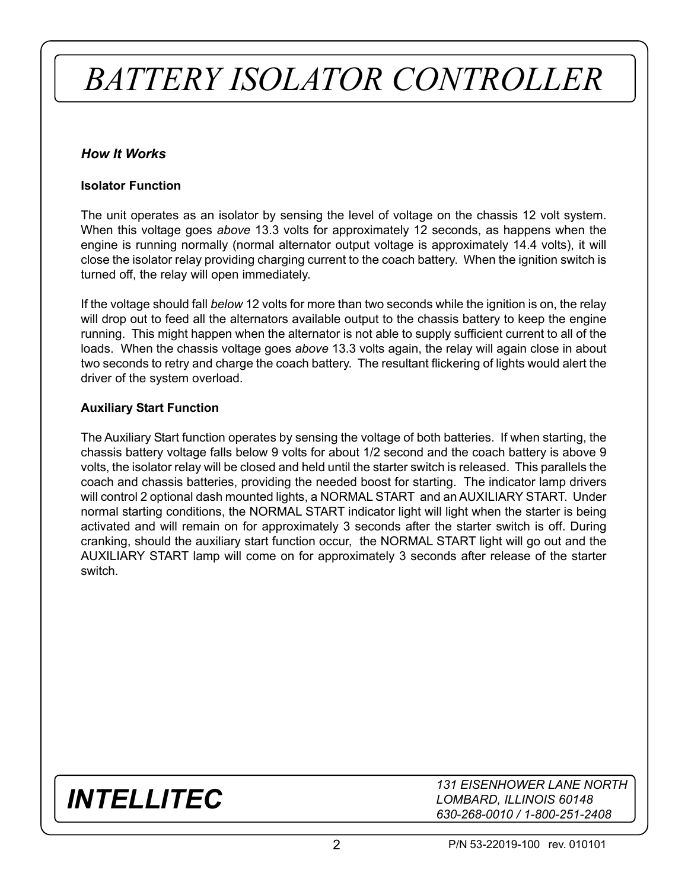# *BATTERY ISOLATOR CONTROLLER*

#### *How It Works*

#### **Isolator Function**

The unit operates as an isolator by sensing the level of voltage on the chassis 12 volt system. When this voltage goes *above* 13.3 volts for approximately 12 seconds, as happens when the engine is running normally (normal alternator output voltage is approximately 14.4 volts), it will close the isolator relay providing charging current to the coach battery. When the ignition switch is turned off, the relay will open immediately.

If the voltage should fall *below* 12 volts for more than two seconds while the ignition is on, the relay will drop out to feed all the alternators available output to the chassis battery to keep the engine running. This might happen when the alternator is not able to supply sufficient current to all of the loads. When the chassis voltage goes *above* 13.3 volts again, the relay will again close in about two seconds to retry and charge the coach battery. The resultant flickering of lights would alert the driver of the system overload.

#### **Auxiliary Start Function**

The Auxiliary Start function operates by sensing the voltage of both batteries. If when starting, the chassis battery voltage falls below 9 volts for about 1/2 second and the coach battery is above 9 volts, the isolator relay will be closed and held until the starter switch is released. This parallels the coach and chassis batteries, providing the needed boost for starting. The indicator lamp drivers will control 2 optional dash mounted lights, a NORMAL START and an AUXILIARY START. Under normal starting conditions, the NORMAL START indicator light will light when the starter is being activated and will remain on for approximately 3 seconds after the starter switch is off. During cranking, should the auxiliary start function occur, the NORMAL START light will go out and the AUXILIARY START lamp will come on for approximately 3 seconds after release of the starter switch.

### *INTELLITEC*

*131 EISENHOWER LANE NORTH LOMBARD, ILLINOIS 60148 630-268-0010 / 1-800-251-2408*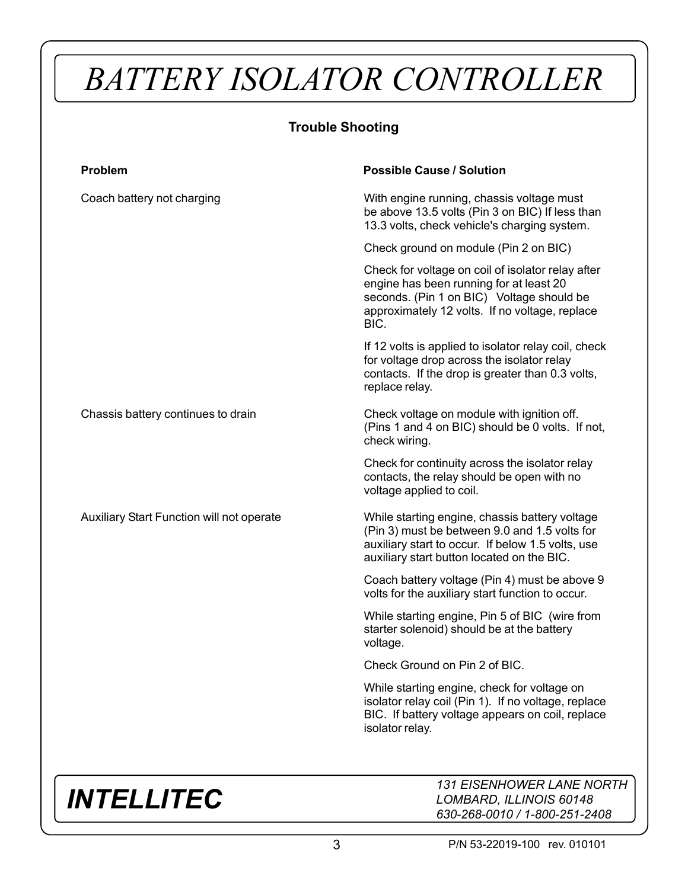# *BATTERY ISOLATOR CONTROLLER*

#### **Trouble Shooting**

| <b>Problem</b>                            | <b>Possible Cause / Solution</b>                                                                                                                                                                    |
|-------------------------------------------|-----------------------------------------------------------------------------------------------------------------------------------------------------------------------------------------------------|
| Coach battery not charging                | With engine running, chassis voltage must<br>be above 13.5 volts (Pin 3 on BIC) If less than<br>13.3 volts, check vehicle's charging system.                                                        |
|                                           | Check ground on module (Pin 2 on BIC)                                                                                                                                                               |
|                                           | Check for voltage on coil of isolator relay after<br>engine has been running for at least 20<br>seconds. (Pin 1 on BIC) Voltage should be<br>approximately 12 volts. If no voltage, replace<br>BIC. |
|                                           | If 12 volts is applied to isolator relay coil, check<br>for voltage drop across the isolator relay<br>contacts. If the drop is greater than 0.3 volts,<br>replace relay.                            |
| Chassis battery continues to drain        | Check voltage on module with ignition off.<br>(Pins 1 and 4 on BIC) should be 0 volts. If not,<br>check wiring.                                                                                     |
|                                           | Check for continuity across the isolator relay<br>contacts, the relay should be open with no<br>voltage applied to coil.                                                                            |
| Auxiliary Start Function will not operate | While starting engine, chassis battery voltage<br>(Pin 3) must be between 9.0 and 1.5 volts for<br>auxiliary start to occur. If below 1.5 volts, use<br>auxiliary start button located on the BIC.  |
|                                           | Coach battery voltage (Pin 4) must be above 9<br>volts for the auxiliary start function to occur.                                                                                                   |
|                                           | While starting engine, Pin 5 of BIC (wire from<br>starter solenoid) should be at the battery<br>voltage.                                                                                            |
|                                           | Check Ground on Pin 2 of BIC.                                                                                                                                                                       |
|                                           | While starting engine, check for voltage on<br>isolator relay coil (Pin 1). If no voltage, replace<br>BIC. If battery voltage appears on coil, replace<br>isolator relay.                           |
|                                           |                                                                                                                                                                                                     |

## *INTELLITEC*

*131 EISENHOWER LANE NORTH LOMBARD, ILLINOIS 60148 630-268-0010 / 1-800-251-2408*